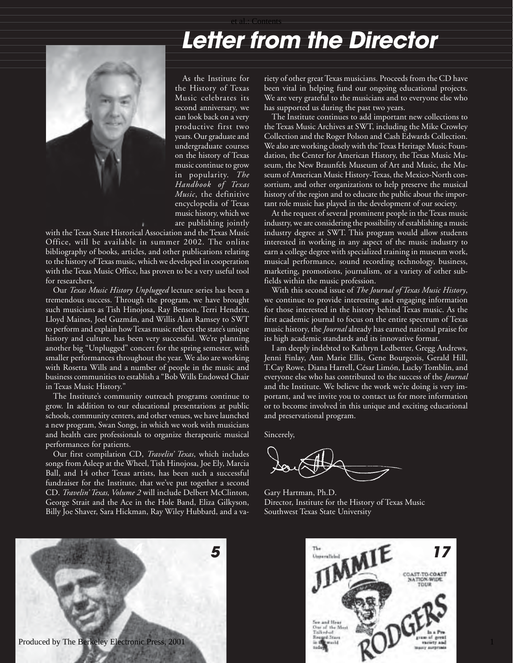## et al.: Contents

## **Letter from the Director**



As the Institute for the History of Texas Music celebrates its second anniversary, we can look back on a very productive first two years. Our graduate and undergraduate courses on the history of Texas music continue to grow in popularity. *The Handbook of Texas Music*, the definitive encyclopedia of Texas music history, which we are publishing jointly

with the Texas State Historical Association and the Texas Music Office, will be available in summer 2002. The online bibliography of books, articles, and other publications relating to the history of Texas music, which we developed in cooperation with the Texas Music Office, has proven to be a very useful tool for researchers.

Our *Texas Music History Unplugged* lecture series has been a tremendous success. Through the program, we have brought such musicians as Tish Hinojosa, Ray Benson, Terri Hendrix, Lloyd Maines, Joel Guzmán, and Willis Alan Ramsey to SWT to perform and explain how Texas music reflects the state's unique history and culture, has been very successful. We're planning another big "Unplugged" concert for the spring semester, with smaller performances throughout the year. We also are working with Rosetta Wills and a number of people in the music and business communities to establish a "Bob Wills Endowed Chair in Texas Music History."

The Institute's community outreach programs continue to grow. In addition to our educational presentations at public schools, community centers, and other venues, we have launched a new program, Swan Songs, in which we work with musicians and health care professionals to organize therapeutic musical performances for patients.

Our first compilation CD, *Travelin' Texas*, which includes songs from Asleep at the Wheel, Tish Hinojosa, Joe Ely, Marcia Ball, and 14 other Texas artists, has been such a successful fundraiser for the Institute, that we've put together a second CD. *Travelin' Texas, Volume 2* will include Delbert McClinton, George Strait and the Ace in the Hole Band, Eliza Gilkyson, Billy Joe Shaver, Sara Hickman, Ray Wiley Hubbard, and a va-

riety of other great Texas musicians. Proceeds from the CD have been vital in helping fund our ongoing educational projects. We are very grateful to the musicians and to everyone else who has supported us during the past two years.

The Institute continues to add important new collections to the Texas Music Archives at SWT, including the Mike Crowley Collection and the Roger Polson and Cash Edwards Collection. We also are working closely with the Texas Heritage Music Foundation, the Center for American History, the Texas Music Museum, the New Braunfels Museum of Art and Music, the Museum of American Music History-Texas, the Mexico-North consortium, and other organizations to help preserve the musical history of the region and to educate the public about the important role music has played in the development of our society.

At the request of several prominent people in the Texas music industry, we are considering the possibility of establishing a music industry degree at SWT. This program would allow students interested in working in any aspect of the music industry to earn a college degree with specialized training in museum work, musical performance, sound recording technology, business, marketing, promotions, journalism, or a variety of other subfields within the music profession.

With this second issue of *The Journal of Texas Music History*, we continue to provide interesting and engaging information for those interested in the history behind Texas music. As the first academic journal to focus on the entire spectrum of Texas music history, the *Journal* already has earned national praise for its high academic standards and its innovative format.

I am deeply indebted to Kathryn Ledbetter, Gregg Andrews, Jenni Finlay, Ann Marie Ellis, Gene Bourgeois, Gerald Hill, T.Cay Rowe, Diana Harrell, César Limón, Lucky Tomblin, and everyone else who has contributed to the success of the *Journal* and the Institute. We believe the work we're doing is very important, and we invite you to contact us for more information or to become involved in this unique and exciting educational and preservational program.

Sincerely,

Gary Hartman, Ph.D. Director, Institute for the History of Texas Music Southwest Texas State University





1